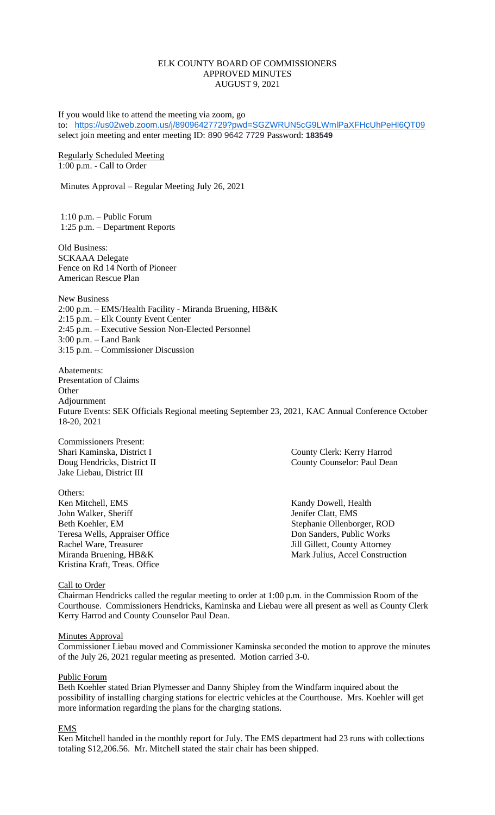## ELK COUNTY BOARD OF COMMISSIONERS APPROVED MINUTES AUGUST 9, 2021

If you would like to attend the meeting via zoom, go to: <https://us02web.zoom.us/j/89096427729?pwd=SGZWRUN5cG9LWmlPaXFHcUhPeHl6QT09> select join meeting and enter meeting ID: 890 9642 7729 Password: **183549**

Regularly Scheduled Meeting 1:00 p.m. - Call to Order

Minutes Approval – Regular Meeting July 26, 2021

1:10 p.m. – Public Forum 1:25 p.m. – Department Reports

Old Business: SCKAAA Delegate Fence on Rd 14 North of Pioneer American Rescue Plan

New Business 2:00 p.m. – EMS/Health Facility - Miranda Bruening, HB&K 2:15 p.m. – Elk County Event Center 2:45 p.m. – Executive Session Non-Elected Personnel 3:00 p.m. – Land Bank 3:15 p.m. – Commissioner Discussion

Abatements: Presentation of Claims **Other** Adjournment Future Events: SEK Officials Regional meeting September 23, 2021, KAC Annual Conference October 18-20, 2021

Commissioners Present: Jake Liebau, District III

Others: Ken Mitchell, EMS Kandy Dowell, Health John Walker, Sheriff Jenifer Clatt, EMS Beth Koehler, EM Stephanie Ollenborger, ROD Teresa Wells, Appraiser Office Don Sanders, Public Works Rachel Ware, Treasurer Jill Gillett, County Attorney Kristina Kraft, Treas. Office

Shari Kaminska, District I County Clerk: Kerry Harrod Doug Hendricks, District II County Counselor: Paul Dean

Miranda Bruening, HB&K Mark Julius, Accel Construction

Call to Order

Chairman Hendricks called the regular meeting to order at 1:00 p.m. in the Commission Room of the Courthouse. Commissioners Hendricks, Kaminska and Liebau were all present as well as County Clerk Kerry Harrod and County Counselor Paul Dean.

#### **Minutes Approval**

Commissioner Liebau moved and Commissioner Kaminska seconded the motion to approve the minutes of the July 26, 2021 regular meeting as presented. Motion carried 3-0.

#### Public Forum

Beth Koehler stated Brian Plymesser and Danny Shipley from the Windfarm inquired about the possibility of installing charging stations for electric vehicles at the Courthouse. Mrs. Koehler will get more information regarding the plans for the charging stations.

#### EMS

Ken Mitchell handed in the monthly report for July. The EMS department had 23 runs with collections totaling \$12,206.56. Mr. Mitchell stated the stair chair has been shipped.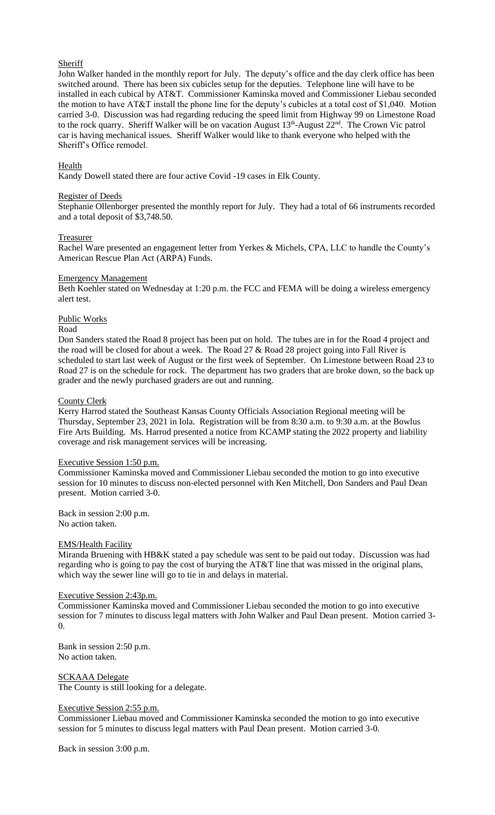# **Sheriff**

John Walker handed in the monthly report for July. The deputy's office and the day clerk office has been switched around. There has been six cubicles setup for the deputies. Telephone line will have to be installed in each cubical by AT&T. Commissioner Kaminska moved and Commissioner Liebau seconded the motion to have AT&T install the phone line for the deputy's cubicles at a total cost of \$1,040. Motion carried 3-0. Discussion was had regarding reducing the speed limit from Highway 99 on Limestone Road to the rock quarry. Sheriff Walker will be on vacation August 13<sup>th</sup>-August 22<sup>nd</sup>. The Crown Vic patrol car is having mechanical issues. Sheriff Walker would like to thank everyone who helped with the Sheriff's Office remodel.

### **Health**

Kandy Dowell stated there are four active Covid -19 cases in Elk County.

#### Register of Deeds

Stephanie Ollenborger presented the monthly report for July. They had a total of 66 instruments recorded and a total deposit of \$3,748.50.

#### Treasurer

Rachel Ware presented an engagement letter from Yerkes & Michels, CPA, LLC to handle the County's American Rescue Plan Act (ARPA) Funds.

#### Emergency Management

Beth Koehler stated on Wednesday at 1:20 p.m. the FCC and FEMA will be doing a wireless emergency alert test.

# Public Works

### Road

Don Sanders stated the Road 8 project has been put on hold. The tubes are in for the Road 4 project and the road will be closed for about a week. The Road  $27 \&$  Road  $28$  project going into Fall River is scheduled to start last week of August or the first week of September. On Limestone between Road 23 to Road 27 is on the schedule for rock. The department has two graders that are broke down, so the back up grader and the newly purchased graders are out and running.

#### County Clerk

Kerry Harrod stated the Southeast Kansas County Officials Association Regional meeting will be Thursday, September 23, 2021 in Iola. Registration will be from 8:30 a.m. to 9:30 a.m. at the Bowlus Fire Arts Building. Ms. Harrod presented a notice from KCAMP stating the 2022 property and liability coverage and risk management services will be increasing.

### Executive Session 1:50 p.m.

Commissioner Kaminska moved and Commissioner Liebau seconded the motion to go into executive session for 10 minutes to discuss non-elected personnel with Ken Mitchell, Don Sanders and Paul Dean present. Motion carried 3-0.

Back in session 2:00 p.m. No action taken.

#### EMS/Health Facility

Miranda Bruening with HB&K stated a pay schedule was sent to be paid out today. Discussion was had regarding who is going to pay the cost of burying the AT&T line that was missed in the original plans, which way the sewer line will go to tie in and delays in material.

### Executive Session 2:43p.m.

Commissioner Kaminska moved and Commissioner Liebau seconded the motion to go into executive session for 7 minutes to discuss legal matters with John Walker and Paul Dean present. Motion carried 3- 0.

Bank in session 2:50 p.m. No action taken.

SCKAAA Delegate The County is still looking for a delegate.

#### Executive Session 2:55 p.m.

Commissioner Liebau moved and Commissioner Kaminska seconded the motion to go into executive session for 5 minutes to discuss legal matters with Paul Dean present. Motion carried 3-0.

Back in session 3:00 p.m.